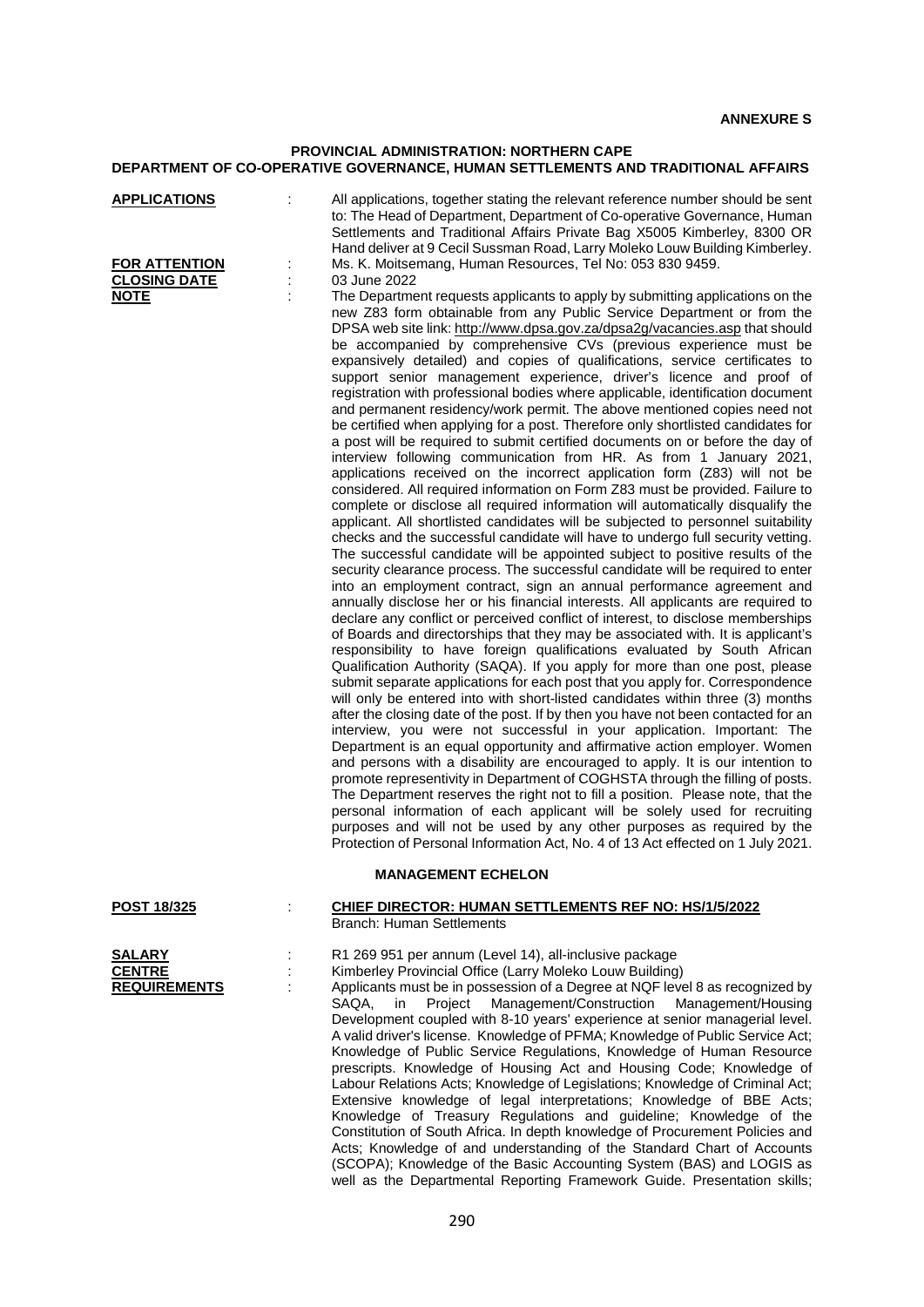# **PROVINCIAL ADMINISTRATION: NORTHERN CAPE DEPARTMENT OF CO-OPERATIVE GOVERNANCE, HUMAN SETTLEMENTS AND TRADITIONAL AFFAIRS**

| <u>APPLICATIONS</u> | ÷ | All applications, together stating the relevant reference number should be sent<br>to: The Head of Department, Department of Co-operative Governance, Human<br>Settlements and Traditional Affairs Private Bag X5005 Kimberley, 8300 OR<br>Hand deliver at 9 Cecil Sussman Road, Larry Moleko Louw Building Kimberley.                                                                                                                                                                                                                                                                                                                                                                                                                                                                                                                                                                                                                                                                                                                                                                                                                                                                                                                                                                                                                                                                                                                                                                                                                                                                                                                                                                                                                                                                                                                                                                                                                                                                                                                                                                                                                                                                                                                                                                                                                                                                                                                                                                                                                                                                                                                                                                                                                                                                                                                                                             |
|---------------------|---|------------------------------------------------------------------------------------------------------------------------------------------------------------------------------------------------------------------------------------------------------------------------------------------------------------------------------------------------------------------------------------------------------------------------------------------------------------------------------------------------------------------------------------------------------------------------------------------------------------------------------------------------------------------------------------------------------------------------------------------------------------------------------------------------------------------------------------------------------------------------------------------------------------------------------------------------------------------------------------------------------------------------------------------------------------------------------------------------------------------------------------------------------------------------------------------------------------------------------------------------------------------------------------------------------------------------------------------------------------------------------------------------------------------------------------------------------------------------------------------------------------------------------------------------------------------------------------------------------------------------------------------------------------------------------------------------------------------------------------------------------------------------------------------------------------------------------------------------------------------------------------------------------------------------------------------------------------------------------------------------------------------------------------------------------------------------------------------------------------------------------------------------------------------------------------------------------------------------------------------------------------------------------------------------------------------------------------------------------------------------------------------------------------------------------------------------------------------------------------------------------------------------------------------------------------------------------------------------------------------------------------------------------------------------------------------------------------------------------------------------------------------------------------------------------------------------------------------------------------------------------------|
| FOR ATTENTION       | ÷ | Ms. K. Moitsemang, Human Resources, Tel No: 053 830 9459.                                                                                                                                                                                                                                                                                                                                                                                                                                                                                                                                                                                                                                                                                                                                                                                                                                                                                                                                                                                                                                                                                                                                                                                                                                                                                                                                                                                                                                                                                                                                                                                                                                                                                                                                                                                                                                                                                                                                                                                                                                                                                                                                                                                                                                                                                                                                                                                                                                                                                                                                                                                                                                                                                                                                                                                                                          |
| <b>CLOSING DATE</b> |   | 03 June 2022                                                                                                                                                                                                                                                                                                                                                                                                                                                                                                                                                                                                                                                                                                                                                                                                                                                                                                                                                                                                                                                                                                                                                                                                                                                                                                                                                                                                                                                                                                                                                                                                                                                                                                                                                                                                                                                                                                                                                                                                                                                                                                                                                                                                                                                                                                                                                                                                                                                                                                                                                                                                                                                                                                                                                                                                                                                                       |
| <b>NOTE</b>         | ÷ | The Department requests applicants to apply by submitting applications on the<br>new Z83 form obtainable from any Public Service Department or from the<br>DPSA web site link: http://www.dpsa.gov.za/dpsa2g/vacancies.asp that should<br>be accompanied by comprehensive CVs (previous experience must be<br>expansively detailed) and copies of qualifications, service certificates to<br>support senior management experience, driver's licence and proof of<br>registration with professional bodies where applicable, identification document<br>and permanent residency/work permit. The above mentioned copies need not<br>be certified when applying for a post. Therefore only shortlisted candidates for<br>a post will be required to submit certified documents on or before the day of<br>interview following communication from HR. As from 1 January 2021,<br>applications received on the incorrect application form (Z83) will not be<br>considered. All required information on Form Z83 must be provided. Failure to<br>complete or disclose all required information will automatically disqualify the<br>applicant. All shortlisted candidates will be subjected to personnel suitability<br>checks and the successful candidate will have to undergo full security vetting.<br>The successful candidate will be appointed subject to positive results of the<br>security clearance process. The successful candidate will be required to enter<br>into an employment contract, sign an annual performance agreement and<br>annually disclose her or his financial interests. All applicants are required to<br>declare any conflict or perceived conflict of interest, to disclose memberships<br>of Boards and directorships that they may be associated with. It is applicant's<br>responsibility to have foreign qualifications evaluated by South African<br>Qualification Authority (SAQA). If you apply for more than one post, please<br>submit separate applications for each post that you apply for. Correspondence<br>will only be entered into with short-listed candidates within three (3) months<br>after the closing date of the post. If by then you have not been contacted for an<br>interview, you were not successful in your application. Important: The<br>Department is an equal opportunity and affirmative action employer. Women<br>and persons with a disability are encouraged to apply. It is our intention to<br>promote representivity in Department of COGHSTA through the filling of posts.<br>The Department reserves the right not to fill a position. Please note, that the<br>personal information of each applicant will be solely used for recruiting<br>purposes and will not be used by any other purposes as required by the<br>Protection of Personal Information Act, No. 4 of 13 Act effected on 1 July 2021. |
|                     |   | <b>MANAGEMENT ECHELON</b>                                                                                                                                                                                                                                                                                                                                                                                                                                                                                                                                                                                                                                                                                                                                                                                                                                                                                                                                                                                                                                                                                                                                                                                                                                                                                                                                                                                                                                                                                                                                                                                                                                                                                                                                                                                                                                                                                                                                                                                                                                                                                                                                                                                                                                                                                                                                                                                                                                                                                                                                                                                                                                                                                                                                                                                                                                                          |
| POST 18/325         | ÷ | <b>CHIEF DIRECTOR: HUMAN SETTLEMENTS REF NO: HS/1/5/2022</b><br><b>Branch: Human Settlements</b>                                                                                                                                                                                                                                                                                                                                                                                                                                                                                                                                                                                                                                                                                                                                                                                                                                                                                                                                                                                                                                                                                                                                                                                                                                                                                                                                                                                                                                                                                                                                                                                                                                                                                                                                                                                                                                                                                                                                                                                                                                                                                                                                                                                                                                                                                                                                                                                                                                                                                                                                                                                                                                                                                                                                                                                   |
| SALARY              |   | R1 269 951 per annum (Level 14), all-inclusive package                                                                                                                                                                                                                                                                                                                                                                                                                                                                                                                                                                                                                                                                                                                                                                                                                                                                                                                                                                                                                                                                                                                                                                                                                                                                                                                                                                                                                                                                                                                                                                                                                                                                                                                                                                                                                                                                                                                                                                                                                                                                                                                                                                                                                                                                                                                                                                                                                                                                                                                                                                                                                                                                                                                                                                                                                             |
| <b>CENTRE</b>       |   | Kimberley Provincial Office (Larry Moleko Louw Building)                                                                                                                                                                                                                                                                                                                                                                                                                                                                                                                                                                                                                                                                                                                                                                                                                                                                                                                                                                                                                                                                                                                                                                                                                                                                                                                                                                                                                                                                                                                                                                                                                                                                                                                                                                                                                                                                                                                                                                                                                                                                                                                                                                                                                                                                                                                                                                                                                                                                                                                                                                                                                                                                                                                                                                                                                           |
| <b>REQUIREMENTS</b> |   | Applicants must be in possession of a Degree at NQF level 8 as recognized by<br>SAQA,<br>Project<br>Management/Construction<br>Management/Housing<br>in<br>Development coupled with 8-10 years' experience at senior managerial level.<br>A valid driver's license. Knowledge of PFMA; Knowledge of Public Service Act;<br>Knowledge of Public Service Regulations, Knowledge of Human Resource<br>prescripts. Knowledge of Housing Act and Housing Code; Knowledge of<br>Labour Relations Acts; Knowledge of Legislations; Knowledge of Criminal Act;<br>Extensive knowledge of legal interpretations; Knowledge of BBE Acts;<br>Knowledge of Treasury Regulations and guideline; Knowledge of the<br>Constitution of South Africa. In depth knowledge of Procurement Policies and<br>Acts; Knowledge of and understanding of the Standard Chart of Accounts                                                                                                                                                                                                                                                                                                                                                                                                                                                                                                                                                                                                                                                                                                                                                                                                                                                                                                                                                                                                                                                                                                                                                                                                                                                                                                                                                                                                                                                                                                                                                                                                                                                                                                                                                                                                                                                                                                                                                                                                                      |

(SCOPA); Knowledge of the Basic Accounting System (BAS) and LOGIS as well as the Departmental Reporting Framework Guide. Presentation skills;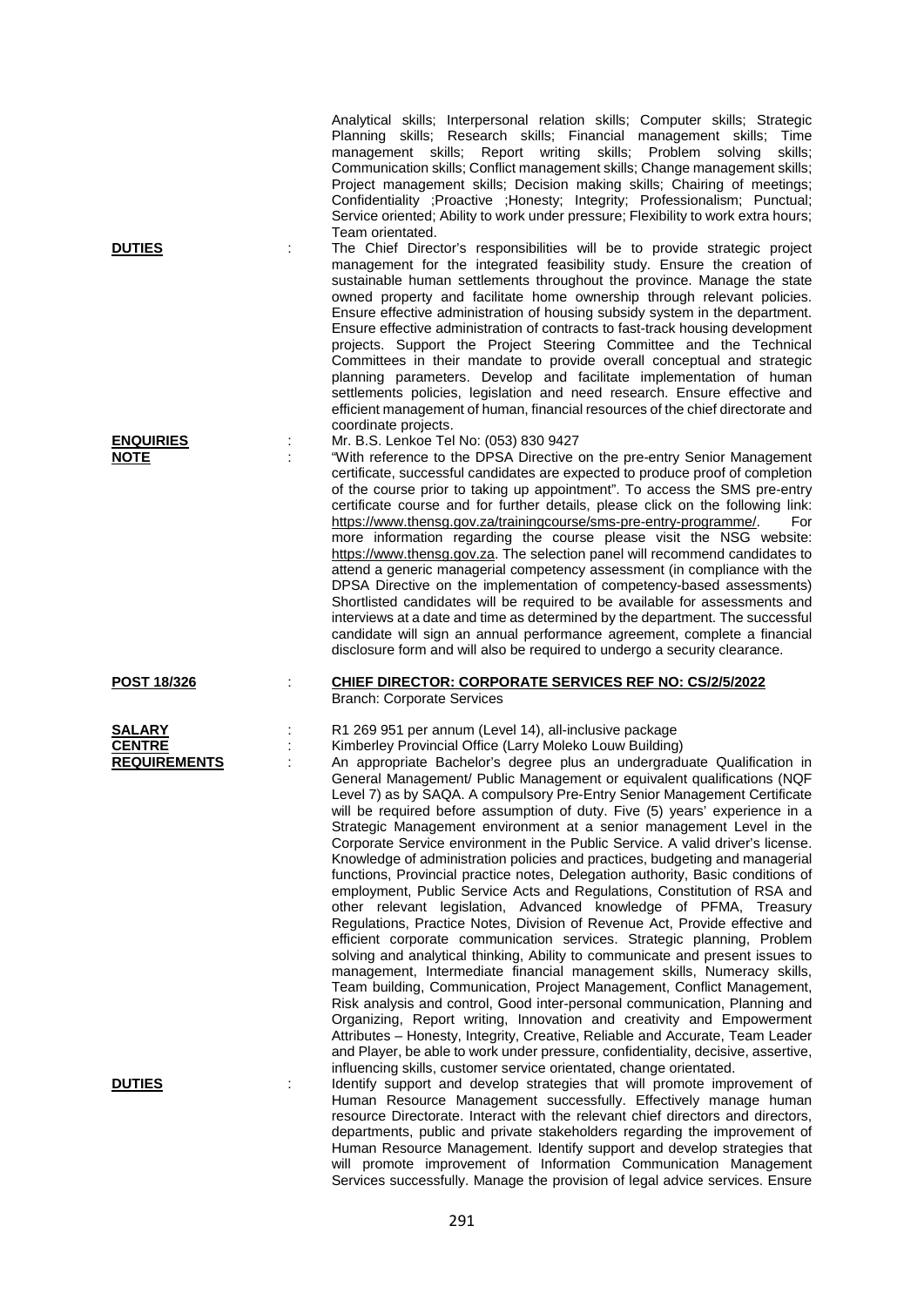|                                                       | Analytical skills; Interpersonal relation skills; Computer skills; Strategic<br>Planning skills; Research skills; Financial management skills;<br>Time<br>management skills; Report writing<br>skills; Problem<br>solving<br>skills:<br>Communication skills; Conflict management skills; Change management skills;<br>Project management skills; Decision making skills; Chairing of meetings;<br>Confidentiality ; Proactive ; Honesty; Integrity; Professionalism; Punctual;<br>Service oriented; Ability to work under pressure; Flexibility to work extra hours;                                                                                                                                                                                                                                                                                                                                                                                                                                                                                                                                                                                                                                                                                                                                                                                                                                                                                                                                                                                                                                                                                                                                                |
|-------------------------------------------------------|----------------------------------------------------------------------------------------------------------------------------------------------------------------------------------------------------------------------------------------------------------------------------------------------------------------------------------------------------------------------------------------------------------------------------------------------------------------------------------------------------------------------------------------------------------------------------------------------------------------------------------------------------------------------------------------------------------------------------------------------------------------------------------------------------------------------------------------------------------------------------------------------------------------------------------------------------------------------------------------------------------------------------------------------------------------------------------------------------------------------------------------------------------------------------------------------------------------------------------------------------------------------------------------------------------------------------------------------------------------------------------------------------------------------------------------------------------------------------------------------------------------------------------------------------------------------------------------------------------------------------------------------------------------------------------------------------------------------|
| <b>DUTIES</b>                                         | Team orientated.<br>The Chief Director's responsibilities will be to provide strategic project<br>management for the integrated feasibility study. Ensure the creation of<br>sustainable human settlements throughout the province. Manage the state<br>owned property and facilitate home ownership through relevant policies.<br>Ensure effective administration of housing subsidy system in the department.<br>Ensure effective administration of contracts to fast-track housing development<br>projects. Support the Project Steering Committee and the Technical<br>Committees in their mandate to provide overall conceptual and strategic<br>planning parameters. Develop and facilitate implementation of human<br>settlements policies, legislation and need research. Ensure effective and<br>efficient management of human, financial resources of the chief directorate and<br>coordinate projects.                                                                                                                                                                                                                                                                                                                                                                                                                                                                                                                                                                                                                                                                                                                                                                                                    |
| <b>ENQUIRIES</b><br><b>NOTE</b>                       | Mr. B.S. Lenkoe Tel No: (053) 830 9427<br>"With reference to the DPSA Directive on the pre-entry Senior Management<br>certificate, successful candidates are expected to produce proof of completion<br>of the course prior to taking up appointment". To access the SMS pre-entry<br>certificate course and for further details, please click on the following link:<br>https://www.thensg.gov.za/trainingcourse/sms-pre-entry-programme/.<br>For<br>more information regarding the course please visit the NSG website:<br>https://www.thensg.gov.za. The selection panel will recommend candidates to<br>attend a generic managerial competency assessment (in compliance with the<br>DPSA Directive on the implementation of competency-based assessments)<br>Shortlisted candidates will be required to be available for assessments and<br>interviews at a date and time as determined by the department. The successful<br>candidate will sign an annual performance agreement, complete a financial<br>disclosure form and will also be required to undergo a security clearance.                                                                                                                                                                                                                                                                                                                                                                                                                                                                                                                                                                                                                            |
| <b>POST 18/326</b>                                    | <b>CHIEF DIRECTOR: CORPORATE SERVICES REF NO: CS/2/5/2022</b><br><b>Branch: Corporate Services</b>                                                                                                                                                                                                                                                                                                                                                                                                                                                                                                                                                                                                                                                                                                                                                                                                                                                                                                                                                                                                                                                                                                                                                                                                                                                                                                                                                                                                                                                                                                                                                                                                                   |
| <b>SALARY</b><br><b>CENTRE</b><br><b>REQUIREMENTS</b> | R1 269 951 per annum (Level 14), all-inclusive package<br>Kimberley Provincial Office (Larry Moleko Louw Building)<br>An appropriate Bachelor's degree plus an undergraduate Qualification in<br>General Management/ Public Management or equivalent qualifications (NQF<br>Level 7) as by SAQA. A compulsory Pre-Entry Senior Management Certificate<br>will be required before assumption of duty. Five (5) years' experience in a<br>Strategic Management environment at a senior management Level in the<br>Corporate Service environment in the Public Service. A valid driver's license.<br>Knowledge of administration policies and practices, budgeting and managerial<br>functions, Provincial practice notes, Delegation authority, Basic conditions of<br>employment, Public Service Acts and Regulations, Constitution of RSA and<br>other relevant legislation, Advanced knowledge of PFMA, Treasury<br>Regulations, Practice Notes, Division of Revenue Act, Provide effective and<br>efficient corporate communication services. Strategic planning, Problem<br>solving and analytical thinking, Ability to communicate and present issues to<br>management, Intermediate financial management skills, Numeracy skills,<br>Team building, Communication, Project Management, Conflict Management,<br>Risk analysis and control, Good inter-personal communication, Planning and<br>Organizing, Report writing, Innovation and creativity and Empowerment<br>Attributes - Honesty, Integrity, Creative, Reliable and Accurate, Team Leader<br>and Player, be able to work under pressure, confidentiality, decisive, assertive,<br>influencing skills, customer service orientated, change orientated. |
| <b>DUTIES</b>                                         | Identify support and develop strategies that will promote improvement of<br>Human Resource Management successfully. Effectively manage human<br>resource Directorate. Interact with the relevant chief directors and directors,<br>departments, public and private stakeholders regarding the improvement of<br>Human Resource Management. Identify support and develop strategies that<br>will promote improvement of Information Communication Management                                                                                                                                                                                                                                                                                                                                                                                                                                                                                                                                                                                                                                                                                                                                                                                                                                                                                                                                                                                                                                                                                                                                                                                                                                                          |

Services successfully. Manage the provision of legal advice services. Ensure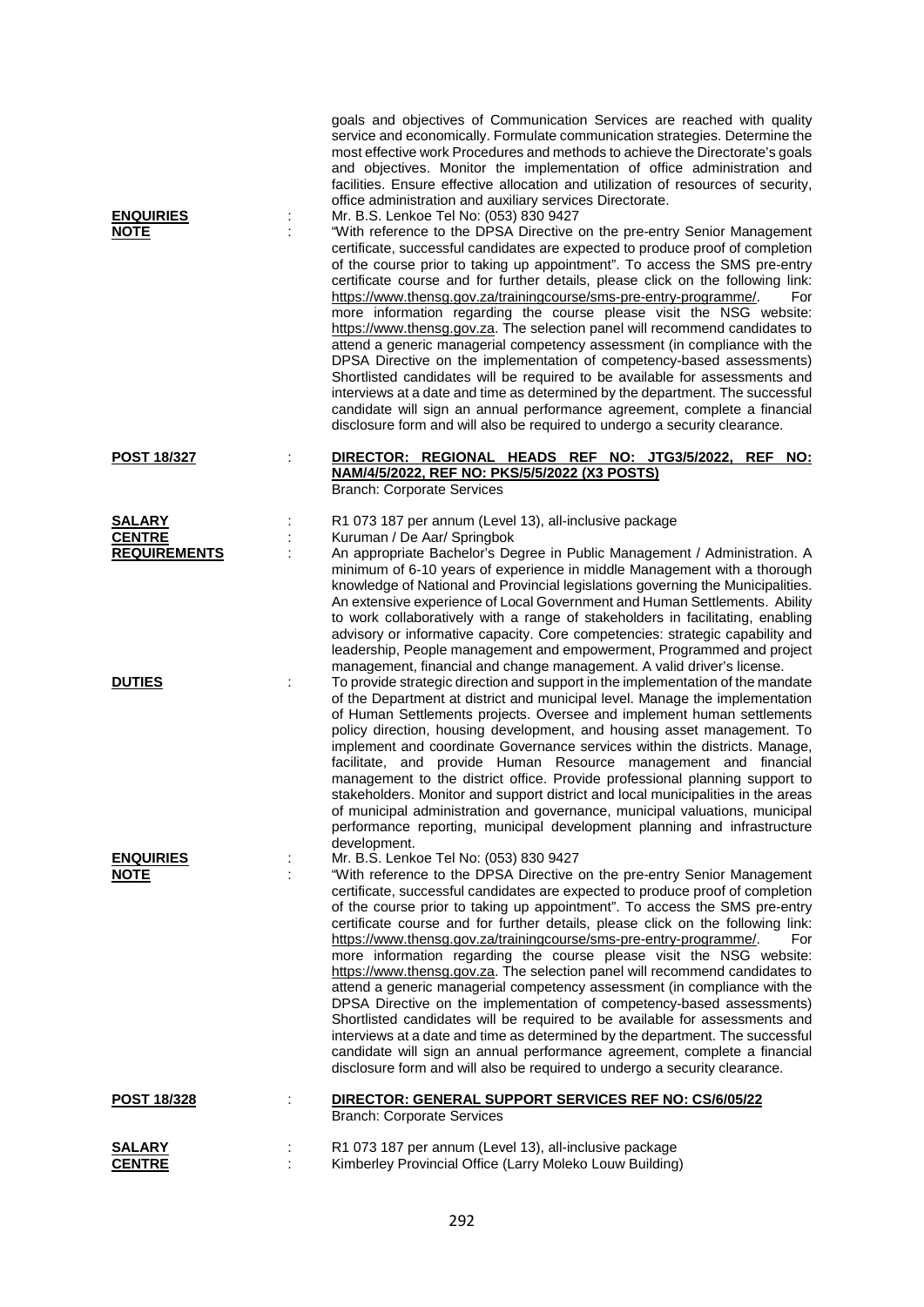| <b>ENQUIRIES</b><br><b>NOTE</b>      | goals and objectives of Communication Services are reached with quality<br>service and economically. Formulate communication strategies. Determine the<br>most effective work Procedures and methods to achieve the Directorate's goals<br>and objectives. Monitor the implementation of office administration and<br>facilities. Ensure effective allocation and utilization of resources of security,<br>office administration and auxiliary services Directorate.<br>Mr. B.S. Lenkoe Tel No: (053) 830 9427<br>"With reference to the DPSA Directive on the pre-entry Senior Management                                                                                                                                                                                                                                                                                                                                                                                                                                                      |
|--------------------------------------|-------------------------------------------------------------------------------------------------------------------------------------------------------------------------------------------------------------------------------------------------------------------------------------------------------------------------------------------------------------------------------------------------------------------------------------------------------------------------------------------------------------------------------------------------------------------------------------------------------------------------------------------------------------------------------------------------------------------------------------------------------------------------------------------------------------------------------------------------------------------------------------------------------------------------------------------------------------------------------------------------------------------------------------------------|
|                                      | certificate, successful candidates are expected to produce proof of completion<br>of the course prior to taking up appointment". To access the SMS pre-entry<br>certificate course and for further details, please click on the following link:<br>https://www.thensg.gov.za/trainingcourse/sms-pre-entry-programme/.<br>For<br>more information regarding the course please visit the NSG website:<br>https://www.thensg.gov.za. The selection panel will recommend candidates to<br>attend a generic managerial competency assessment (in compliance with the<br>DPSA Directive on the implementation of competency-based assessments)<br>Shortlisted candidates will be required to be available for assessments and<br>interviews at a date and time as determined by the department. The successful<br>candidate will sign an annual performance agreement, complete a financial<br>disclosure form and will also be required to undergo a security clearance.                                                                             |
| <b>POST 18/327</b>                   | DIRECTOR: REGIONAL HEADS REF NO: JTG3/5/2022, REF NO:<br>NAM/4/5/2022, REF NO: PKS/5/5/2022 (X3 POSTS)<br><b>Branch: Corporate Services</b>                                                                                                                                                                                                                                                                                                                                                                                                                                                                                                                                                                                                                                                                                                                                                                                                                                                                                                     |
| <b>SALARY</b>                        | R1 073 187 per annum (Level 13), all-inclusive package                                                                                                                                                                                                                                                                                                                                                                                                                                                                                                                                                                                                                                                                                                                                                                                                                                                                                                                                                                                          |
| <b>CENTRE</b><br><b>REQUIREMENTS</b> | Kuruman / De Aar/ Springbok<br>An appropriate Bachelor's Degree in Public Management / Administration. A                                                                                                                                                                                                                                                                                                                                                                                                                                                                                                                                                                                                                                                                                                                                                                                                                                                                                                                                        |
|                                      | minimum of 6-10 years of experience in middle Management with a thorough<br>knowledge of National and Provincial legislations governing the Municipalities.<br>An extensive experience of Local Government and Human Settlements. Ability<br>to work collaboratively with a range of stakeholders in facilitating, enabling<br>advisory or informative capacity. Core competencies: strategic capability and<br>leadership, People management and empowerment, Programmed and project<br>management, financial and change management. A valid driver's license.                                                                                                                                                                                                                                                                                                                                                                                                                                                                                 |
| <b>DUTIES</b>                        | To provide strategic direction and support in the implementation of the mandate<br>of the Department at district and municipal level. Manage the implementation<br>of Human Settlements projects. Oversee and implement human settlements<br>policy direction, housing development, and housing asset management. To<br>implement and coordinate Governance services within the districts. Manage,<br>facilitate, and provide Human Resource management and financial<br>management to the district office. Provide professional planning support to<br>stakeholders. Monitor and support district and local municipalities in the areas<br>of municipal administration and governance, municipal valuations, municipal<br>performance reporting, municipal development planning and infrastructure<br>development.                                                                                                                                                                                                                             |
| <u>ENQUIRIES</u>                     | Mr. B.S. Lenkoe Tel No: (053) 830 9427                                                                                                                                                                                                                                                                                                                                                                                                                                                                                                                                                                                                                                                                                                                                                                                                                                                                                                                                                                                                          |
| NOTE                                 | "With reference to the DPSA Directive on the pre-entry Senior Management<br>certificate, successful candidates are expected to produce proof of completion<br>of the course prior to taking up appointment". To access the SMS pre-entry<br>certificate course and for further details, please click on the following link:<br>https://www.thensg.gov.za/trainingcourse/sms-pre-entry-programme/.<br>For<br>more information regarding the course please visit the NSG website:<br>https://www.thensg.gov.za. The selection panel will recommend candidates to<br>attend a generic managerial competency assessment (in compliance with the<br>DPSA Directive on the implementation of competency-based assessments)<br>Shortlisted candidates will be required to be available for assessments and<br>interviews at a date and time as determined by the department. The successful<br>candidate will sign an annual performance agreement, complete a financial<br>disclosure form and will also be required to undergo a security clearance. |
| <u>POST 18/328</u>                   | DIRECTOR: GENERAL SUPPORT SERVICES REF NO: CS/6/05/22<br><b>Branch: Corporate Services</b>                                                                                                                                                                                                                                                                                                                                                                                                                                                                                                                                                                                                                                                                                                                                                                                                                                                                                                                                                      |
| SALARY<br><b>CENTRE</b>              | R1 073 187 per annum (Level 13), all-inclusive package<br>Kimberley Provincial Office (Larry Moleko Louw Building)                                                                                                                                                                                                                                                                                                                                                                                                                                                                                                                                                                                                                                                                                                                                                                                                                                                                                                                              |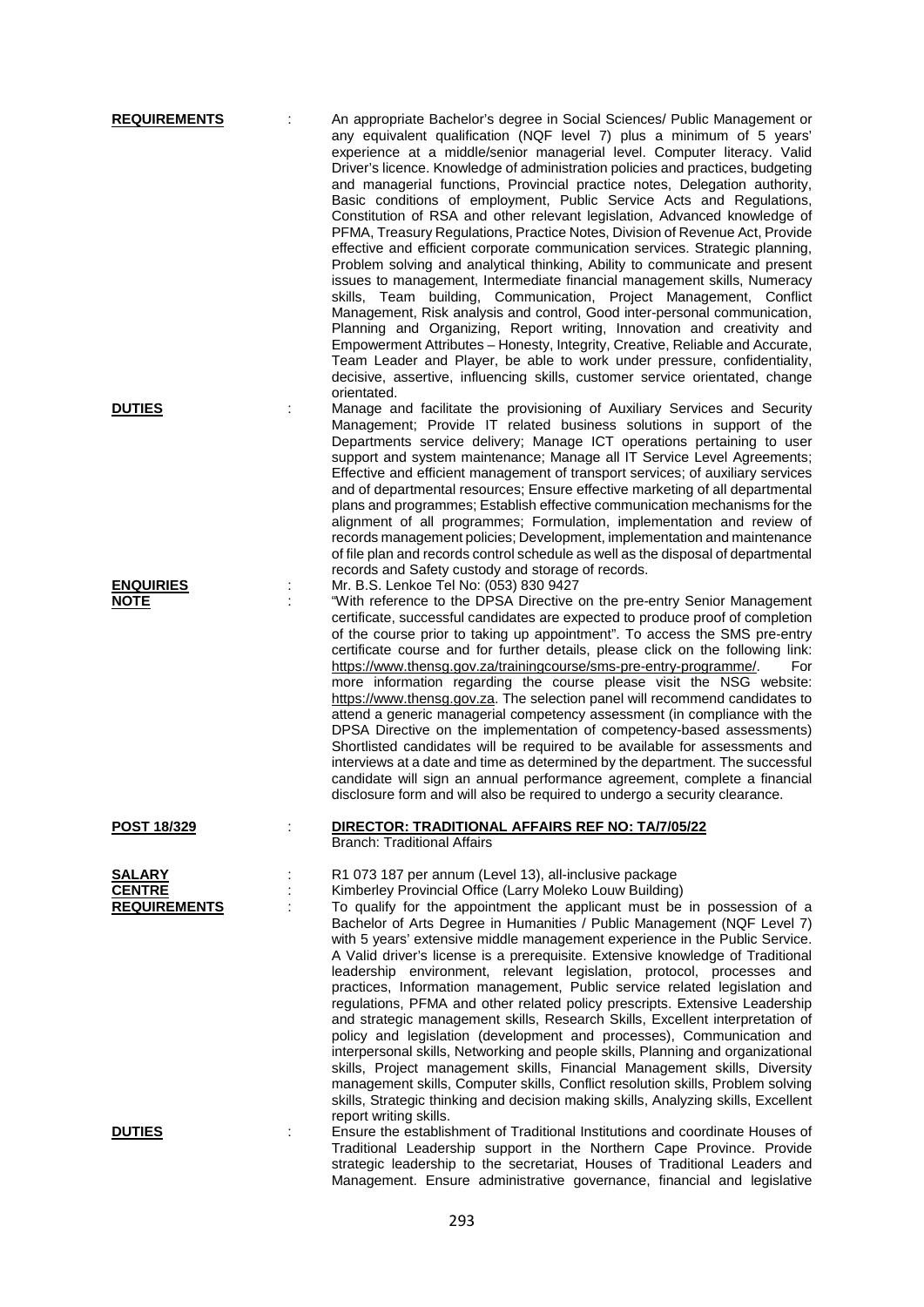| <b>REQUIREMENTS</b>                                   | An appropriate Bachelor's degree in Social Sciences/ Public Management or<br>any equivalent qualification (NQF level 7) plus a minimum of 5 years'<br>experience at a middle/senior managerial level. Computer literacy. Valid<br>Driver's licence. Knowledge of administration policies and practices, budgeting<br>and managerial functions, Provincial practice notes, Delegation authority,<br>Basic conditions of employment, Public Service Acts and Regulations,<br>Constitution of RSA and other relevant legislation, Advanced knowledge of<br>PFMA, Treasury Regulations, Practice Notes, Division of Revenue Act, Provide<br>effective and efficient corporate communication services. Strategic planning,<br>Problem solving and analytical thinking, Ability to communicate and present<br>issues to management, Intermediate financial management skills, Numeracy<br>skills, Team building, Communication, Project Management, Conflict<br>Management, Risk analysis and control, Good inter-personal communication,<br>Planning and Organizing, Report writing, Innovation and creativity and<br>Empowerment Attributes - Honesty, Integrity, Creative, Reliable and Accurate,<br>Team Leader and Player, be able to work under pressure, confidentiality,<br>decisive, assertive, influencing skills, customer service orientated, change<br>orientated. |
|-------------------------------------------------------|---------------------------------------------------------------------------------------------------------------------------------------------------------------------------------------------------------------------------------------------------------------------------------------------------------------------------------------------------------------------------------------------------------------------------------------------------------------------------------------------------------------------------------------------------------------------------------------------------------------------------------------------------------------------------------------------------------------------------------------------------------------------------------------------------------------------------------------------------------------------------------------------------------------------------------------------------------------------------------------------------------------------------------------------------------------------------------------------------------------------------------------------------------------------------------------------------------------------------------------------------------------------------------------------------------------------------------------------------------------------------|
| <b>DUTIES</b>                                         | Manage and facilitate the provisioning of Auxiliary Services and Security<br>Management; Provide IT related business solutions in support of the<br>Departments service delivery; Manage ICT operations pertaining to user<br>support and system maintenance; Manage all IT Service Level Agreements;<br>Effective and efficient management of transport services; of auxiliary services<br>and of departmental resources; Ensure effective marketing of all departmental<br>plans and programmes; Establish effective communication mechanisms for the<br>alignment of all programmes; Formulation, implementation and review of<br>records management policies; Development, implementation and maintenance<br>of file plan and records control schedule as well as the disposal of departmental<br>records and Safety custody and storage of records.                                                                                                                                                                                                                                                                                                                                                                                                                                                                                                                  |
| <b>ENQUIRIES</b><br><b>NOTE</b>                       | Mr. B.S. Lenkoe Tel No: (053) 830 9427<br>"With reference to the DPSA Directive on the pre-entry Senior Management<br>certificate, successful candidates are expected to produce proof of completion<br>of the course prior to taking up appointment". To access the SMS pre-entry<br>certificate course and for further details, please click on the following link:<br>https://www.thensg.gov.za/trainingcourse/sms-pre-entry-programme/.<br>For<br>more information regarding the course please visit the NSG website:<br>https://www.thensg.gov.za. The selection panel will recommend candidates to<br>attend a generic managerial competency assessment (in compliance with the<br>DPSA Directive on the implementation of competency-based assessments)<br>Shortlisted candidates will be required to be available for assessments and<br>interviews at a date and time as determined by the department. The successful<br>candidate will sign an annual performance agreement, complete a financial<br>disclosure form and will also be required to undergo a security clearance.                                                                                                                                                                                                                                                                                 |
| <b>POST 18/329</b>                                    | DIRECTOR: TRADITIONAL AFFAIRS REF NO: TA/7/05/22<br><b>Branch: Traditional Affairs</b>                                                                                                                                                                                                                                                                                                                                                                                                                                                                                                                                                                                                                                                                                                                                                                                                                                                                                                                                                                                                                                                                                                                                                                                                                                                                                    |
| <u>SALARY</u><br><b>CENTRE</b><br><b>REQUIREMENTS</b> | R1 073 187 per annum (Level 13), all-inclusive package<br>Kimberley Provincial Office (Larry Moleko Louw Building)<br>To qualify for the appointment the applicant must be in possession of a<br>Bachelor of Arts Degree in Humanities / Public Management (NQF Level 7)<br>with 5 years' extensive middle management experience in the Public Service.<br>A Valid driver's license is a prerequisite. Extensive knowledge of Traditional<br>leadership environment, relevant legislation, protocol, processes and<br>practices, Information management, Public service related legislation and<br>regulations, PFMA and other related policy prescripts. Extensive Leadership<br>and strategic management skills, Research Skills, Excellent interpretation of<br>policy and legislation (development and processes), Communication and<br>interpersonal skills, Networking and people skills, Planning and organizational<br>skills, Project management skills, Financial Management skills, Diversity<br>management skills, Computer skills, Conflict resolution skills, Problem solving<br>skills, Strategic thinking and decision making skills, Analyzing skills, Excellent<br>report writing skills.                                                                                                                                                               |
| <b>DUTIES</b>                                         | Ensure the establishment of Traditional Institutions and coordinate Houses of<br>Traditional Leadership support in the Northern Cape Province. Provide<br>strategic leadership to the secretariat, Houses of Traditional Leaders and<br>Management. Ensure administrative governance, financial and legislative                                                                                                                                                                                                                                                                                                                                                                                                                                                                                                                                                                                                                                                                                                                                                                                                                                                                                                                                                                                                                                                           |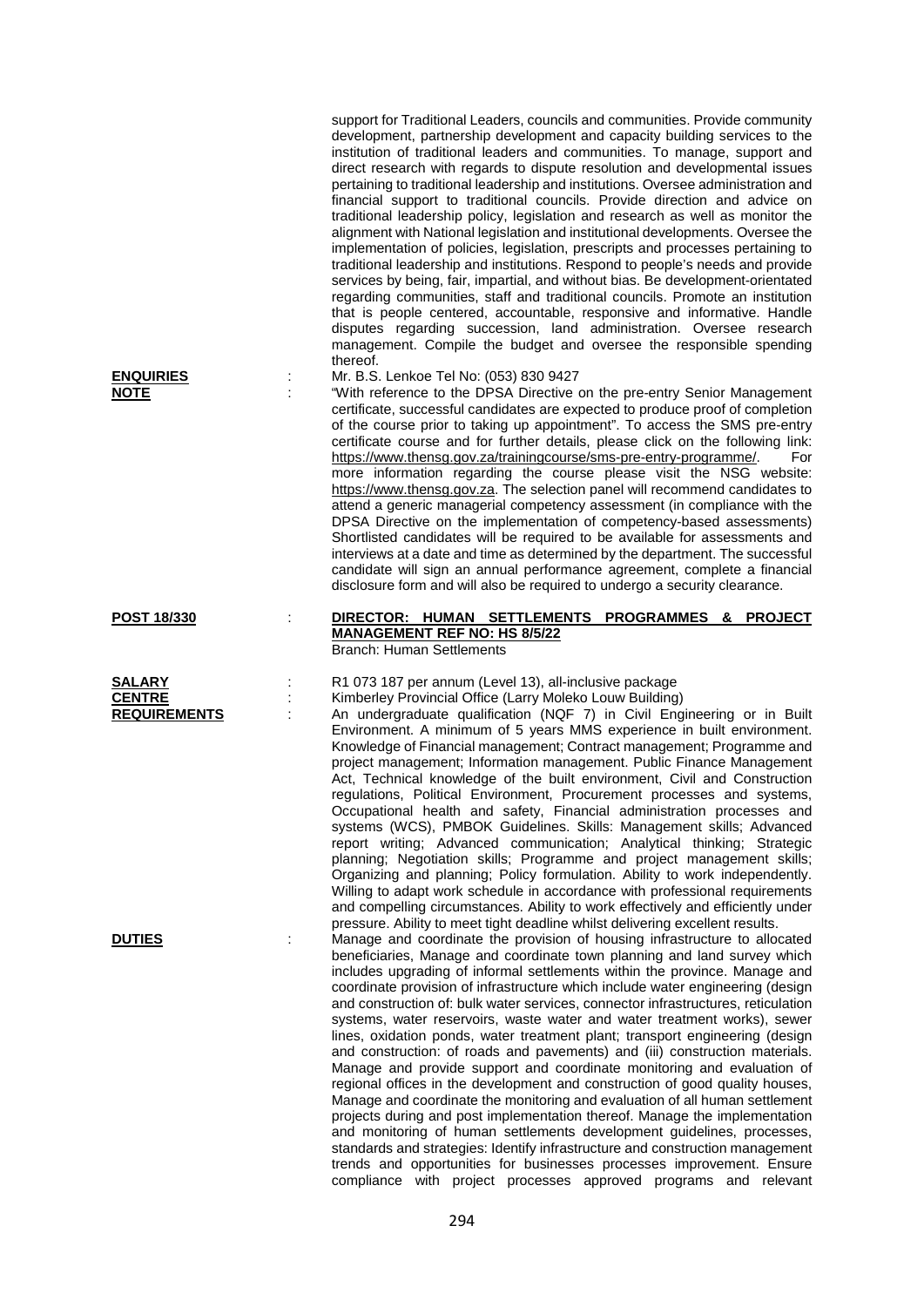support for Traditional Leaders, councils and communities. Provide community development, partnership development and capacity building services to the institution of traditional leaders and communities. To manage, support and direct research with regards to dispute resolution and developmental issues pertaining to traditional leadership and institutions. Oversee administration and financial support to traditional councils. Provide direction and advice on traditional leadership policy, legislation and research as well as monitor the alignment with National legislation and institutional developments. Oversee the implementation of policies, legislation, prescripts and processes pertaining to traditional leadership and institutions. Respond to people's needs and provide services by being, fair, impartial, and without bias. Be development-orientated regarding communities, staff and traditional councils. Promote an institution that is people centered, accountable, responsive and informative. Handle disputes regarding succession, land administration. Oversee research management. Compile the budget and oversee the responsible spending thereof.

**ENQUIRIES** : Mr. B.S. Lenkoe Tel No: (053) 830 9427<br> **NOTE** : "With reference to the DPSA Directive of

"With reference to the DPSA Directive on the pre-entry Senior Management certificate, successful candidates are expected to produce proof of completion of the course prior to taking up appointment". To access the SMS pre-entry certificate course and for further details, please click on the following link: [https://www.thensg.gov.za/trainingcourse/sms-pre-entry-programme/.](https://www.thensg.gov.za/trainingcourse/sms-pre-entry-programme/) For more information regarding the course please visit the NSG website: [https://www.thensg.gov.za.](https://www.thensg.gov.za/) The selection panel will recommend candidates to attend a generic managerial competency assessment (in compliance with the DPSA Directive on the implementation of competency-based assessments) Shortlisted candidates will be required to be available for assessments and interviews at a date and time as determined by the department. The successful candidate will sign an annual performance agreement, complete a financial disclosure form and will also be required to undergo a security clearance.

## **POST 18/330** : **DIRECTOR: HUMAN SETTLEMENTS PROGRAMMES & PROJECT MANAGEMENT REF NO: HS 8/5/22** Branch: Human Settlements

**SALARY** : R1 073 187 per annum (Level 13), all-inclusive package

: Kimberley Provincial Office (Larry Moleko Louw Building)

**REQUIREMENTS** : An undergraduate qualification (NQF 7) in Civil Engineering or in Built Environment. A minimum of 5 years MMS experience in built environment. Knowledge of Financial management; Contract management; Programme and project management; Information management. Public Finance Management Act, Technical knowledge of the built environment, Civil and Construction regulations, Political Environment, Procurement processes and systems, Occupational health and safety, Financial administration processes and systems (WCS), PMBOK Guidelines. Skills: Management skills; Advanced report writing; Advanced communication; Analytical thinking; Strategic planning; Negotiation skills; Programme and project management skills; Organizing and planning; Policy formulation. Ability to work independently. Willing to adapt work schedule in accordance with professional requirements and compelling circumstances. Ability to work effectively and efficiently under pressure. Ability to meet tight deadline whilst delivering excellent results.

**DUTIES** : Manage and coordinate the provision of housing infrastructure to allocated beneficiaries, Manage and coordinate town planning and land survey which includes upgrading of informal settlements within the province. Manage and coordinate provision of infrastructure which include water engineering (design and construction of: bulk water services, connector infrastructures, reticulation systems, water reservoirs, waste water and water treatment works), sewer lines, oxidation ponds, water treatment plant; transport engineering (design and construction: of roads and pavements) and (iii) construction materials. Manage and provide support and coordinate monitoring and evaluation of regional offices in the development and construction of good quality houses, Manage and coordinate the monitoring and evaluation of all human settlement projects during and post implementation thereof. Manage the implementation and monitoring of human settlements development guidelines, processes, standards and strategies: Identify infrastructure and construction management trends and opportunities for businesses processes improvement. Ensure compliance with project processes approved programs and relevant

| <b>SALARY</b>       |  |
|---------------------|--|
| <b>CENTRE</b>       |  |
| <b>REQUIREMENTS</b> |  |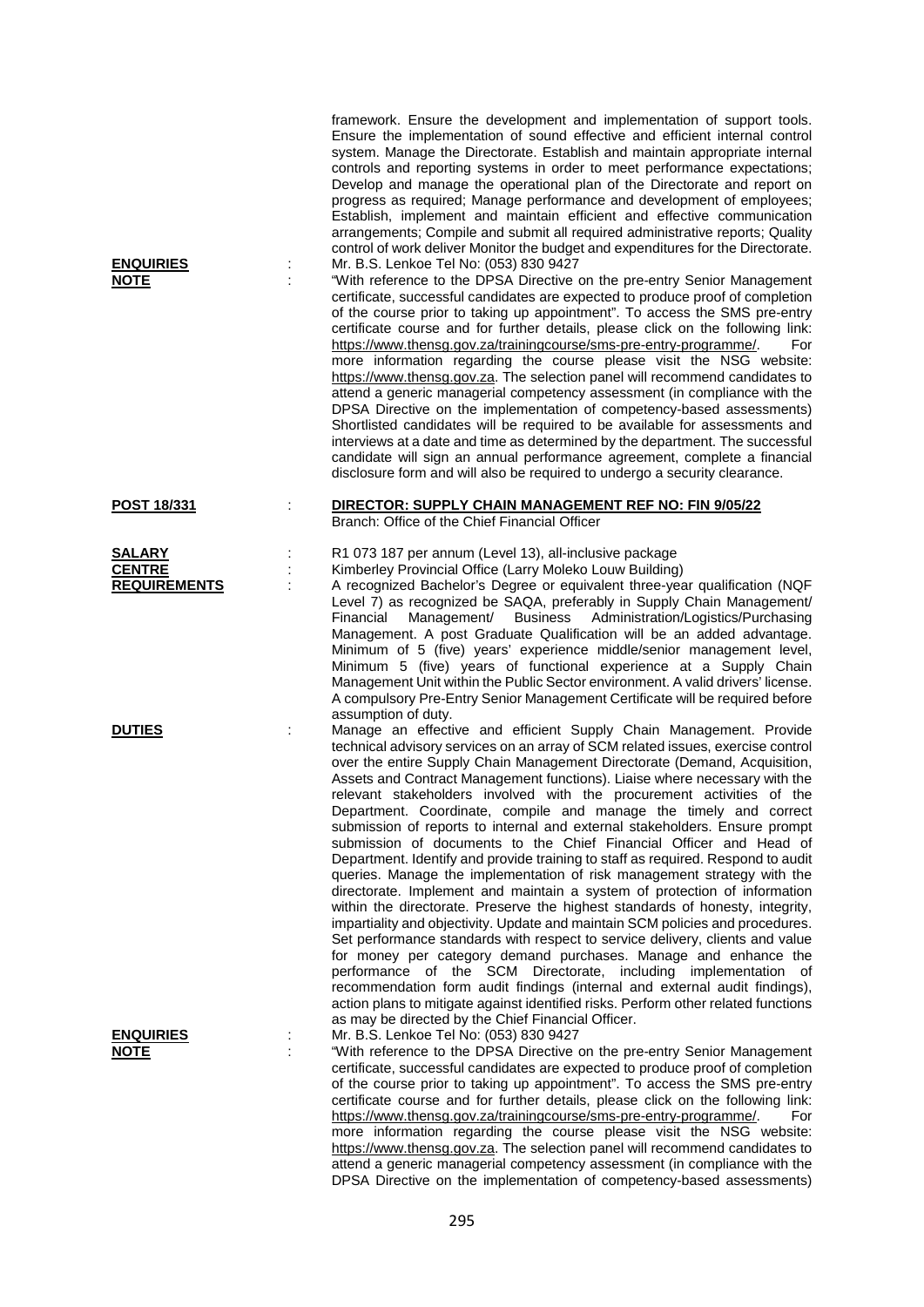| <b>ENQUIRIES</b><br><b>NOTE</b>                       | ċ | framework. Ensure the development and implementation of support tools.<br>Ensure the implementation of sound effective and efficient internal control<br>system. Manage the Directorate. Establish and maintain appropriate internal<br>controls and reporting systems in order to meet performance expectations;<br>Develop and manage the operational plan of the Directorate and report on<br>progress as required; Manage performance and development of employees;<br>Establish, implement and maintain efficient and effective communication<br>arrangements; Compile and submit all required administrative reports; Quality<br>control of work deliver Monitor the budget and expenditures for the Directorate.<br>Mr. B.S. Lenkoe Tel No: (053) 830 9427<br>"With reference to the DPSA Directive on the pre-entry Senior Management<br>certificate, successful candidates are expected to produce proof of completion<br>of the course prior to taking up appointment". To access the SMS pre-entry<br>certificate course and for further details, please click on the following link:<br>https://www.thensg.gov.za/trainingcourse/sms-pre-entry-programme/.<br>For<br>more information regarding the course please visit the NSG website:<br>https://www.thensg.gov.za. The selection panel will recommend candidates to<br>attend a generic managerial competency assessment (in compliance with the<br>DPSA Directive on the implementation of competency-based assessments)<br>Shortlisted candidates will be required to be available for assessments and<br>interviews at a date and time as determined by the department. The successful<br>candidate will sign an annual performance agreement, complete a financial<br>disclosure form and will also be required to undergo a security clearance. |
|-------------------------------------------------------|---|----------------------------------------------------------------------------------------------------------------------------------------------------------------------------------------------------------------------------------------------------------------------------------------------------------------------------------------------------------------------------------------------------------------------------------------------------------------------------------------------------------------------------------------------------------------------------------------------------------------------------------------------------------------------------------------------------------------------------------------------------------------------------------------------------------------------------------------------------------------------------------------------------------------------------------------------------------------------------------------------------------------------------------------------------------------------------------------------------------------------------------------------------------------------------------------------------------------------------------------------------------------------------------------------------------------------------------------------------------------------------------------------------------------------------------------------------------------------------------------------------------------------------------------------------------------------------------------------------------------------------------------------------------------------------------------------------------------------------------------------------------------------------------------------------------------------|
| <b>POST 18/331</b>                                    |   | DIRECTOR: SUPPLY CHAIN MANAGEMENT REF NO: FIN 9/05/22<br>Branch: Office of the Chief Financial Officer                                                                                                                                                                                                                                                                                                                                                                                                                                                                                                                                                                                                                                                                                                                                                                                                                                                                                                                                                                                                                                                                                                                                                                                                                                                                                                                                                                                                                                                                                                                                                                                                                                                                                                               |
| <b>SALARY</b><br><b>CENTRE</b><br><b>REQUIREMENTS</b> |   | R1 073 187 per annum (Level 13), all-inclusive package<br>Kimberley Provincial Office (Larry Moleko Louw Building)<br>A recognized Bachelor's Degree or equivalent three-year qualification (NQF<br>Level 7) as recognized be SAQA, preferably in Supply Chain Management/<br>Business Administration/Logistics/Purchasing<br>Financial<br>Management/<br>Management. A post Graduate Qualification will be an added advantage.<br>Minimum of 5 (five) years' experience middle/senior management level,<br>Minimum 5 (five) years of functional experience at a Supply Chain<br>Management Unit within the Public Sector environment. A valid drivers' license.<br>A compulsory Pre-Entry Senior Management Certificate will be required before<br>assumption of duty.                                                                                                                                                                                                                                                                                                                                                                                                                                                                                                                                                                                                                                                                                                                                                                                                                                                                                                                                                                                                                                              |
| <b>DUTIES</b>                                         |   | Manage an effective and efficient Supply Chain Management. Provide<br>technical advisory services on an array of SCM related issues, exercise control<br>over the entire Supply Chain Management Directorate (Demand, Acquisition,<br>Assets and Contract Management functions). Liaise where necessary with the<br>relevant stakeholders involved with the procurement activities of the<br>Department. Coordinate, compile and manage the timely and correct<br>submission of reports to internal and external stakeholders. Ensure prompt<br>submission of documents to the Chief Financial Officer and Head of<br>Department. Identify and provide training to staff as required. Respond to audit<br>queries. Manage the implementation of risk management strategy with the<br>directorate. Implement and maintain a system of protection of information<br>within the directorate. Preserve the highest standards of honesty, integrity,<br>impartiality and objectivity. Update and maintain SCM policies and procedures.<br>Set performance standards with respect to service delivery, clients and value<br>for money per category demand purchases. Manage and enhance the<br>performance of the SCM Directorate, including implementation of<br>recommendation form audit findings (internal and external audit findings),<br>action plans to mitigate against identified risks. Perform other related functions<br>as may be directed by the Chief Financial Officer.                                                                                                                                                                                                                                                                                                                                   |
| <b>ENQUIRIES</b><br><u>NOTE</u>                       |   | Mr. B.S. Lenkoe Tel No: (053) 830 9427<br>"With reference to the DPSA Directive on the pre-entry Senior Management<br>certificate, successful candidates are expected to produce proof of completion<br>of the course prior to taking up appointment". To access the SMS pre-entry<br>certificate course and for further details, please click on the following link:<br>https://www.thensg.gov.za/trainingcourse/sms-pre-entry-programme/.<br>For<br>more information regarding the course please visit the NSG website:<br>https://www.thensg.gov.za. The selection panel will recommend candidates to<br>attend a generic managerial competency assessment (in compliance with the<br>DPSA Directive on the implementation of competency-based assessments)                                                                                                                                                                                                                                                                                                                                                                                                                                                                                                                                                                                                                                                                                                                                                                                                                                                                                                                                                                                                                                                       |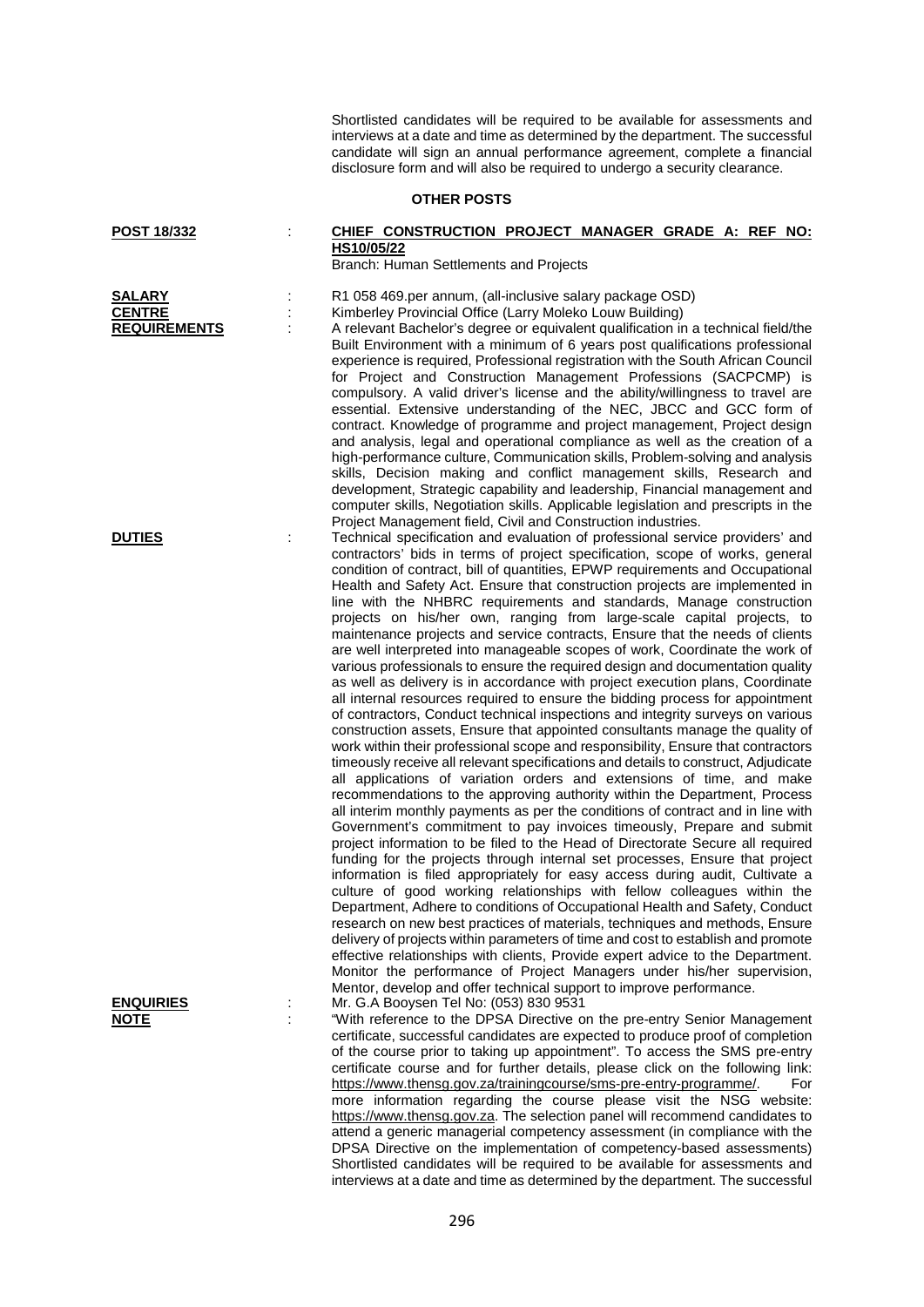Shortlisted candidates will be required to be available for assessments and interviews at a date and time as determined by the department. The successful candidate will sign an annual performance agreement, complete a financial disclosure form and will also be required to undergo a security clearance.

### **OTHER POSTS**

| POST 18/332                                           | CHIEF CONSTRUCTION PROJECT MANAGER GRADE A: REF NO:<br>HS10/05/22<br>Branch: Human Settlements and Projects                                                                                                                                                                                                                                                                                                                                                                                                                                                                                                                                                                                                                                                                                                                                                                                                                                                                                                                                                                                                                                                                                                                                                                                                                                                                                                                                                                                                                                                                                                                                                                                                                                                                                                                                                                                                                                                                                                                                      |
|-------------------------------------------------------|--------------------------------------------------------------------------------------------------------------------------------------------------------------------------------------------------------------------------------------------------------------------------------------------------------------------------------------------------------------------------------------------------------------------------------------------------------------------------------------------------------------------------------------------------------------------------------------------------------------------------------------------------------------------------------------------------------------------------------------------------------------------------------------------------------------------------------------------------------------------------------------------------------------------------------------------------------------------------------------------------------------------------------------------------------------------------------------------------------------------------------------------------------------------------------------------------------------------------------------------------------------------------------------------------------------------------------------------------------------------------------------------------------------------------------------------------------------------------------------------------------------------------------------------------------------------------------------------------------------------------------------------------------------------------------------------------------------------------------------------------------------------------------------------------------------------------------------------------------------------------------------------------------------------------------------------------------------------------------------------------------------------------------------------------|
| <b>SALARY</b><br><b>CENTRE</b><br><b>REQUIREMENTS</b> | R1 058 469.per annum, (all-inclusive salary package OSD)<br>Kimberley Provincial Office (Larry Moleko Louw Building)<br>A relevant Bachelor's degree or equivalent qualification in a technical field/the<br>Built Environment with a minimum of 6 years post qualifications professional<br>experience is required, Professional registration with the South African Council<br>for Project and Construction Management Professions (SACPCMP) is<br>compulsory. A valid driver's license and the ability/willingness to travel are<br>essential. Extensive understanding of the NEC, JBCC and GCC form of<br>contract. Knowledge of programme and project management, Project design<br>and analysis, legal and operational compliance as well as the creation of a<br>high-performance culture, Communication skills, Problem-solving and analysis<br>skills, Decision making and conflict management skills, Research and<br>development, Strategic capability and leadership, Financial management and                                                                                                                                                                                                                                                                                                                                                                                                                                                                                                                                                                                                                                                                                                                                                                                                                                                                                                                                                                                                                                       |
| <b>DUTIES</b>                                         | computer skills, Negotiation skills. Applicable legislation and prescripts in the<br>Project Management field, Civil and Construction industries.<br>Technical specification and evaluation of professional service providers' and<br>contractors' bids in terms of project specification, scope of works, general<br>condition of contract, bill of quantities, EPWP requirements and Occupational<br>Health and Safety Act. Ensure that construction projects are implemented in<br>line with the NHBRC requirements and standards, Manage construction<br>projects on his/her own, ranging from large-scale capital projects, to<br>maintenance projects and service contracts, Ensure that the needs of clients<br>are well interpreted into manageable scopes of work, Coordinate the work of<br>various professionals to ensure the required design and documentation quality<br>as well as delivery is in accordance with project execution plans, Coordinate<br>all internal resources required to ensure the bidding process for appointment<br>of contractors, Conduct technical inspections and integrity surveys on various<br>construction assets, Ensure that appointed consultants manage the quality of<br>work within their professional scope and responsibility, Ensure that contractors<br>timeously receive all relevant specifications and details to construct, Adjudicate<br>all applications of variation orders and extensions of time, and make<br>recommendations to the approving authority within the Department, Process<br>all interim monthly payments as per the conditions of contract and in line with<br>Government's commitment to pay invoices timeously, Prepare and submit<br>project information to be filed to the Head of Directorate Secure all required<br>funding for the projects through internal set processes, Ensure that project<br>information is filed appropriately for easy access during audit, Cultivate a<br>culture of good working relationships with fellow colleagues within the |
| <b>ENQUIRIES</b><br><b>NOTE</b>                       | Department, Adhere to conditions of Occupational Health and Safety, Conduct<br>research on new best practices of materials, techniques and methods, Ensure<br>delivery of projects within parameters of time and cost to establish and promote<br>effective relationships with clients, Provide expert advice to the Department.<br>Monitor the performance of Project Managers under his/her supervision,<br>Mentor, develop and offer technical support to improve performance.<br>Mr. G.A Booysen Tel No: (053) 830 9531<br>"With reference to the DPSA Directive on the pre-entry Senior Management<br>certificate, successful candidates are expected to produce proof of completion<br>of the course prior to toking up appointment". To access the CMC pro optru                                                                                                                                                                                                                                                                                                                                                                                                                                                                                                                                                                                                                                                                                                                                                                                                                                                                                                                                                                                                                                                                                                                                                                                                                                                                          |

**I** Management of of completion of the course prior to taking up appointment". To access the SMS pre-entry certificate course and for further details, please click on the following link: [https://www.thensg.gov.za/trainingcourse/sms-pre-entry-programme/.](https://www.thensg.gov.za/trainingcourse/sms-pre-entry-programme/) For more information regarding the course please visit the NSG website: [https://www.thensg.gov.za.](https://www.thensg.gov.za/) The selection panel will recommend candidates to attend a generic managerial competency assessment (in compliance with the DPSA Directive on the implementation of competency-based assessments) Shortlisted candidates will be required to be available for assessments and interviews at a date and time as determined by the department. The successful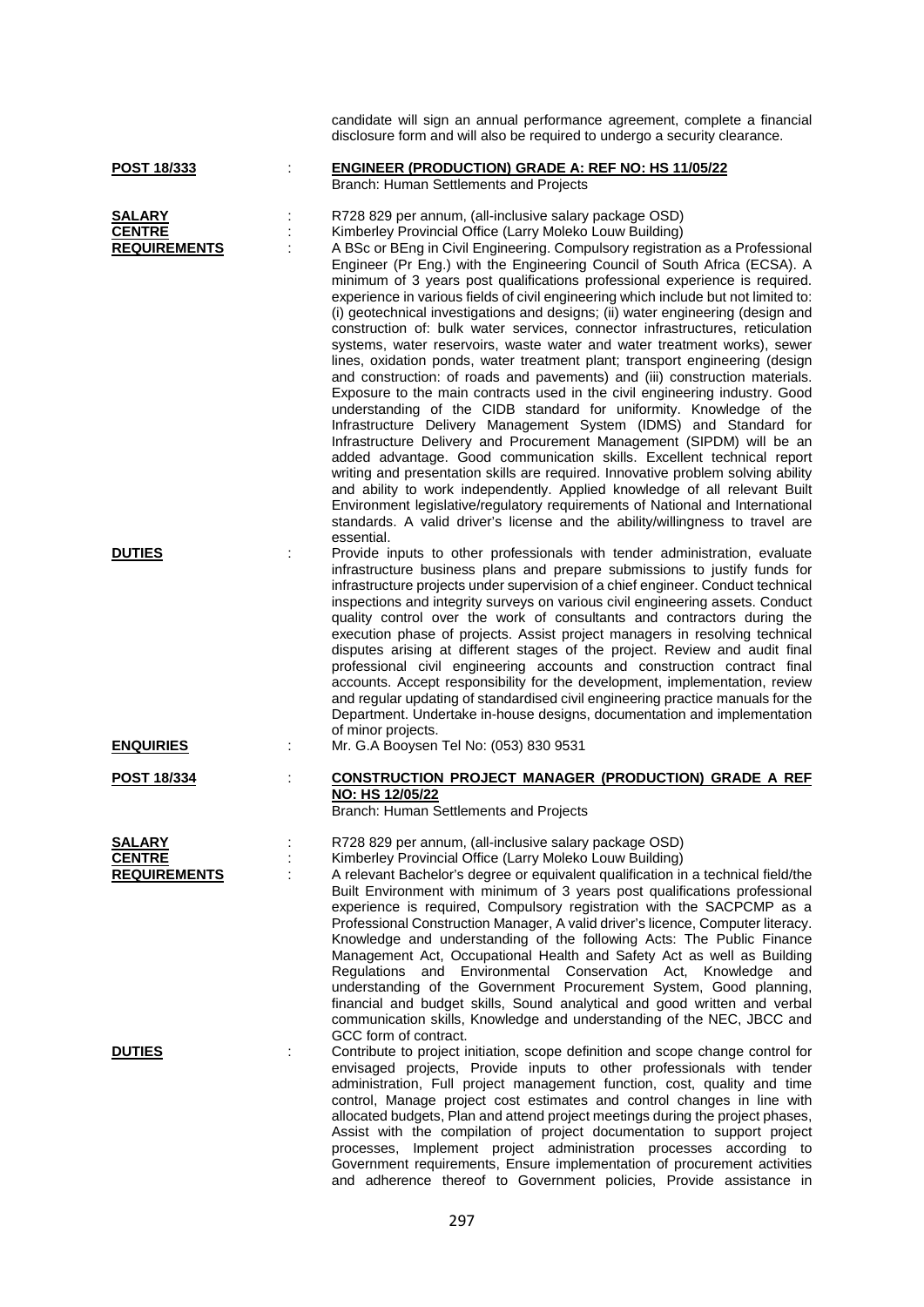|                                                       | candidate will sign an annual performance agreement, complete a financial<br>disclosure form and will also be required to undergo a security clearance.                                                                                                                                                                                                                                                                                                                                                                                                                                                                                                                                                                                                                                                                                                                                                                                                                                                                                                                                                                                                                                                                                                                                                                                                                                                                                                                                                                                                                                               |
|-------------------------------------------------------|-------------------------------------------------------------------------------------------------------------------------------------------------------------------------------------------------------------------------------------------------------------------------------------------------------------------------------------------------------------------------------------------------------------------------------------------------------------------------------------------------------------------------------------------------------------------------------------------------------------------------------------------------------------------------------------------------------------------------------------------------------------------------------------------------------------------------------------------------------------------------------------------------------------------------------------------------------------------------------------------------------------------------------------------------------------------------------------------------------------------------------------------------------------------------------------------------------------------------------------------------------------------------------------------------------------------------------------------------------------------------------------------------------------------------------------------------------------------------------------------------------------------------------------------------------------------------------------------------------|
| POST 18/333                                           | <b>ENGINEER (PRODUCTION) GRADE A: REF NO: HS 11/05/22</b><br>Branch: Human Settlements and Projects                                                                                                                                                                                                                                                                                                                                                                                                                                                                                                                                                                                                                                                                                                                                                                                                                                                                                                                                                                                                                                                                                                                                                                                                                                                                                                                                                                                                                                                                                                   |
| <b>SALARY</b><br><b>CENTRE</b><br><b>REQUIREMENTS</b> | R728 829 per annum, (all-inclusive salary package OSD)<br>Kimberley Provincial Office (Larry Moleko Louw Building)<br>A BSc or BEng in Civil Engineering. Compulsory registration as a Professional<br>Engineer (Pr Eng.) with the Engineering Council of South Africa (ECSA). A<br>minimum of 3 years post qualifications professional experience is required.<br>experience in various fields of civil engineering which include but not limited to:<br>(i) geotechnical investigations and designs; (ii) water engineering (design and<br>construction of: bulk water services, connector infrastructures, reticulation<br>systems, water reservoirs, waste water and water treatment works), sewer<br>lines, oxidation ponds, water treatment plant; transport engineering (design<br>and construction: of roads and pavements) and (iii) construction materials.<br>Exposure to the main contracts used in the civil engineering industry. Good<br>understanding of the CIDB standard for uniformity. Knowledge of the<br>Infrastructure Delivery Management System (IDMS) and Standard for<br>Infrastructure Delivery and Procurement Management (SIPDM) will be an<br>added advantage. Good communication skills. Excellent technical report<br>writing and presentation skills are required. Innovative problem solving ability<br>and ability to work independently. Applied knowledge of all relevant Built<br>Environment legislative/regulatory requirements of National and International<br>standards. A valid driver's license and the ability/willingness to travel are<br>essential. |
| <b>DUTIES</b>                                         | Provide inputs to other professionals with tender administration, evaluate<br>infrastructure business plans and prepare submissions to justify funds for<br>infrastructure projects under supervision of a chief engineer. Conduct technical<br>inspections and integrity surveys on various civil engineering assets. Conduct<br>quality control over the work of consultants and contractors during the<br>execution phase of projects. Assist project managers in resolving technical<br>disputes arising at different stages of the project. Review and audit final<br>professional civil engineering accounts and construction contract final<br>accounts. Accept responsibility for the development, implementation, review<br>and regular updating of standardised civil engineering practice manuals for the<br>Department. Undertake in-house designs, documentation and implementation<br>of minor projects.                                                                                                                                                                                                                                                                                                                                                                                                                                                                                                                                                                                                                                                                                |
| <b>ENQUIRIES</b>                                      | Mr. G.A Booysen Tel No: (053) 830 9531                                                                                                                                                                                                                                                                                                                                                                                                                                                                                                                                                                                                                                                                                                                                                                                                                                                                                                                                                                                                                                                                                                                                                                                                                                                                                                                                                                                                                                                                                                                                                                |
| <b>POST 18/334</b>                                    | <b>CONSTRUCTION PROJECT MANAGER (PRODUCTION) GRADE A REF</b><br>NO: HS 12/05/22<br>Branch: Human Settlements and Projects                                                                                                                                                                                                                                                                                                                                                                                                                                                                                                                                                                                                                                                                                                                                                                                                                                                                                                                                                                                                                                                                                                                                                                                                                                                                                                                                                                                                                                                                             |
| <b>SALARY</b><br><b>CENTRE</b><br><b>REQUIREMENTS</b> | R728 829 per annum, (all-inclusive salary package OSD)<br>Kimberley Provincial Office (Larry Moleko Louw Building)<br>A relevant Bachelor's degree or equivalent qualification in a technical field/the<br>Built Environment with minimum of 3 years post qualifications professional<br>experience is required, Compulsory registration with the SACPCMP as a<br>Professional Construction Manager, A valid driver's licence, Computer literacy.<br>Knowledge and understanding of the following Acts: The Public Finance<br>Management Act, Occupational Health and Safety Act as well as Building<br>Regulations and Environmental Conservation Act, Knowledge<br>and<br>understanding of the Government Procurement System, Good planning,<br>financial and budget skills, Sound analytical and good written and verbal<br>communication skills, Knowledge and understanding of the NEC, JBCC and                                                                                                                                                                                                                                                                                                                                                                                                                                                                                                                                                                                                                                                                                                 |
| <b>DUTIES</b>                                         | GCC form of contract.<br>Contribute to project initiation, scope definition and scope change control for<br>envisaged projects, Provide inputs to other professionals with tender<br>administration, Full project management function, cost, quality and time<br>control, Manage project cost estimates and control changes in line with<br>allocated budgets, Plan and attend project meetings during the project phases,<br>Assist with the compilation of project documentation to support project<br>processes, Implement project administration processes according to<br>Government requirements, Ensure implementation of procurement activities<br>and adherence thereof to Government policies, Provide assistance in                                                                                                                                                                                                                                                                                                                                                                                                                                                                                                                                                                                                                                                                                                                                                                                                                                                                        |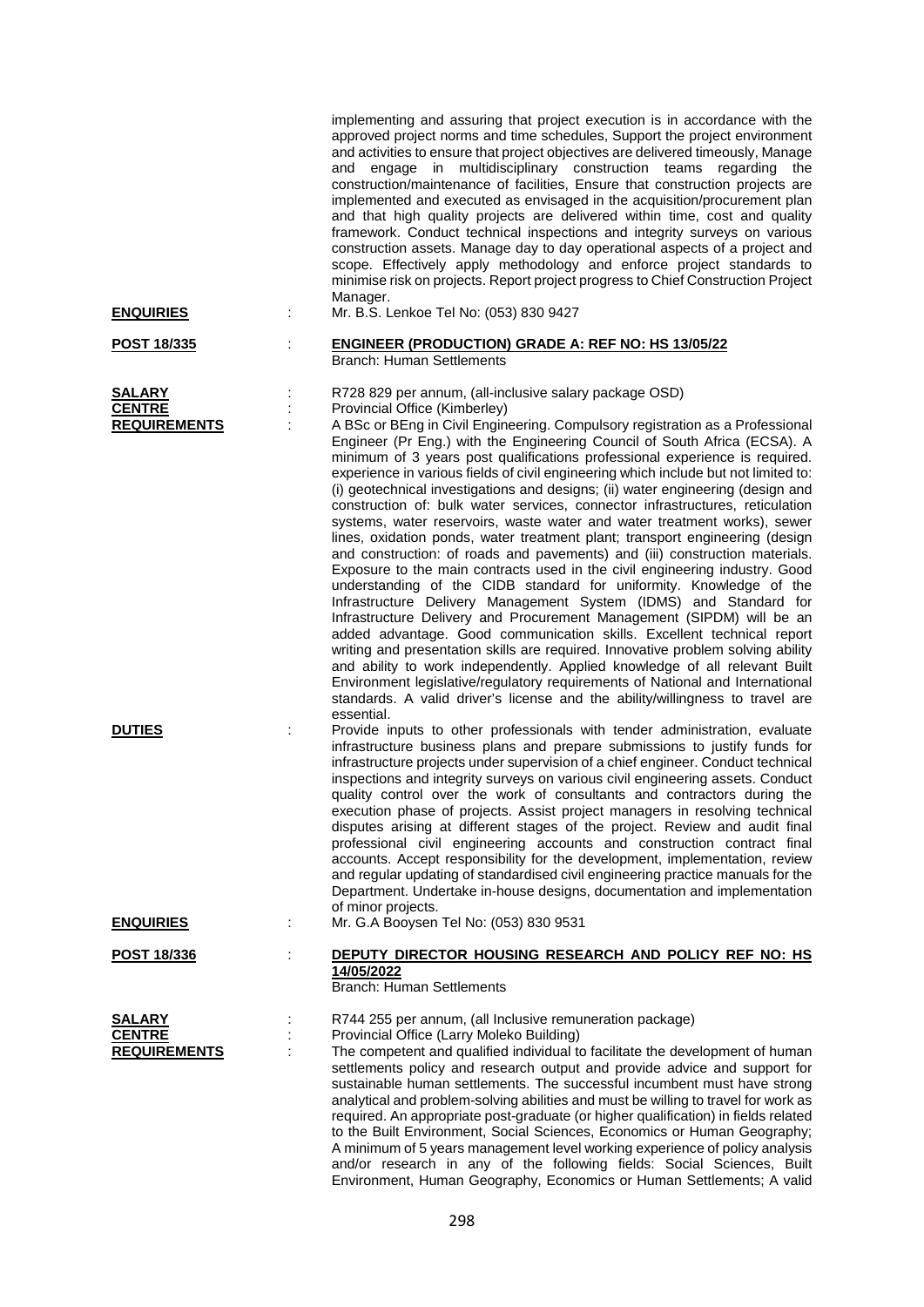| <b>ENQUIRIES</b>                                      |   | implementing and assuring that project execution is in accordance with the<br>approved project norms and time schedules, Support the project environment<br>and activities to ensure that project objectives are delivered timeously, Manage<br>engage in multidisciplinary construction teams regarding<br>the<br>and<br>construction/maintenance of facilities, Ensure that construction projects are<br>implemented and executed as envisaged in the acquisition/procurement plan<br>and that high quality projects are delivered within time, cost and quality<br>framework. Conduct technical inspections and integrity surveys on various<br>construction assets. Manage day to day operational aspects of a project and<br>scope. Effectively apply methodology and enforce project standards to<br>minimise risk on projects. Report project progress to Chief Construction Project<br>Manager.<br>Mr. B.S. Lenkoe Tel No: (053) 830 9427                                                                                                                                                                                                                                                                                                                                                                                                                                                                                                                                                                                                                          |
|-------------------------------------------------------|---|----------------------------------------------------------------------------------------------------------------------------------------------------------------------------------------------------------------------------------------------------------------------------------------------------------------------------------------------------------------------------------------------------------------------------------------------------------------------------------------------------------------------------------------------------------------------------------------------------------------------------------------------------------------------------------------------------------------------------------------------------------------------------------------------------------------------------------------------------------------------------------------------------------------------------------------------------------------------------------------------------------------------------------------------------------------------------------------------------------------------------------------------------------------------------------------------------------------------------------------------------------------------------------------------------------------------------------------------------------------------------------------------------------------------------------------------------------------------------------------------------------------------------------------------------------------------------|
| <u>POST 18/335</u>                                    |   | <b>ENGINEER (PRODUCTION) GRADE A: REF NO: HS 13/05/22</b><br><b>Branch: Human Settlements</b>                                                                                                                                                                                                                                                                                                                                                                                                                                                                                                                                                                                                                                                                                                                                                                                                                                                                                                                                                                                                                                                                                                                                                                                                                                                                                                                                                                                                                                                                              |
| <b>SALARY</b><br><b>CENTRE</b><br><b>REQUIREMENTS</b> | ÷ | R728 829 per annum, (all-inclusive salary package OSD)<br>Provincial Office (Kimberley)<br>A BSc or BEng in Civil Engineering. Compulsory registration as a Professional<br>Engineer (Pr Eng.) with the Engineering Council of South Africa (ECSA). A<br>minimum of 3 years post qualifications professional experience is required.<br>experience in various fields of civil engineering which include but not limited to:<br>(i) geotechnical investigations and designs; (ii) water engineering (design and<br>construction of: bulk water services, connector infrastructures, reticulation<br>systems, water reservoirs, waste water and water treatment works), sewer<br>lines, oxidation ponds, water treatment plant; transport engineering (design<br>and construction: of roads and pavements) and (iii) construction materials.<br>Exposure to the main contracts used in the civil engineering industry. Good<br>understanding of the CIDB standard for uniformity. Knowledge of the<br>Infrastructure Delivery Management System (IDMS) and Standard for<br>Infrastructure Delivery and Procurement Management (SIPDM) will be an<br>added advantage. Good communication skills. Excellent technical report<br>writing and presentation skills are required. Innovative problem solving ability<br>and ability to work independently. Applied knowledge of all relevant Built<br>Environment legislative/regulatory requirements of National and International<br>standards. A valid driver's license and the ability/willingness to travel are<br>essential. |
| <b>DUTIES</b>                                         |   | Provide inputs to other professionals with tender administration, evaluate<br>infrastructure business plans and prepare submissions to justify funds for<br>infrastructure projects under supervision of a chief engineer. Conduct technical<br>inspections and integrity surveys on various civil engineering assets. Conduct<br>quality control over the work of consultants and contractors during the<br>execution phase of projects. Assist project managers in resolving technical<br>disputes arising at different stages of the project. Review and audit final<br>professional civil engineering accounts and construction contract final<br>accounts. Accept responsibility for the development, implementation, review<br>and regular updating of standardised civil engineering practice manuals for the<br>Department. Undertake in-house designs, documentation and implementation<br>of minor projects.                                                                                                                                                                                                                                                                                                                                                                                                                                                                                                                                                                                                                                                     |
| <b>ENQUIRIES</b>                                      |   | Mr. G.A Booysen Tel No: (053) 830 9531                                                                                                                                                                                                                                                                                                                                                                                                                                                                                                                                                                                                                                                                                                                                                                                                                                                                                                                                                                                                                                                                                                                                                                                                                                                                                                                                                                                                                                                                                                                                     |
| POST 18/336                                           |   | DEPUTY DIRECTOR HOUSING RESEARCH AND POLICY REF NO: HS<br>14/05/2022<br><b>Branch: Human Settlements</b>                                                                                                                                                                                                                                                                                                                                                                                                                                                                                                                                                                                                                                                                                                                                                                                                                                                                                                                                                                                                                                                                                                                                                                                                                                                                                                                                                                                                                                                                   |
| <b>SALARY</b><br><b>CENTRE</b><br><b>REQUIREMENTS</b> |   | R744 255 per annum, (all Inclusive remuneration package)<br>Provincial Office (Larry Moleko Building)<br>The competent and qualified individual to facilitate the development of human<br>settlements policy and research output and provide advice and support for<br>sustainable human settlements. The successful incumbent must have strong<br>analytical and problem-solving abilities and must be willing to travel for work as<br>required. An appropriate post-graduate (or higher qualification) in fields related<br>to the Built Environment, Social Sciences, Economics or Human Geography;<br>A minimum of 5 years management level working experience of policy analysis<br>and/or research in any of the following fields: Social Sciences, Built<br>Environment, Human Geography, Economics or Human Settlements; A valid                                                                                                                                                                                                                                                                                                                                                                                                                                                                                                                                                                                                                                                                                                                                  |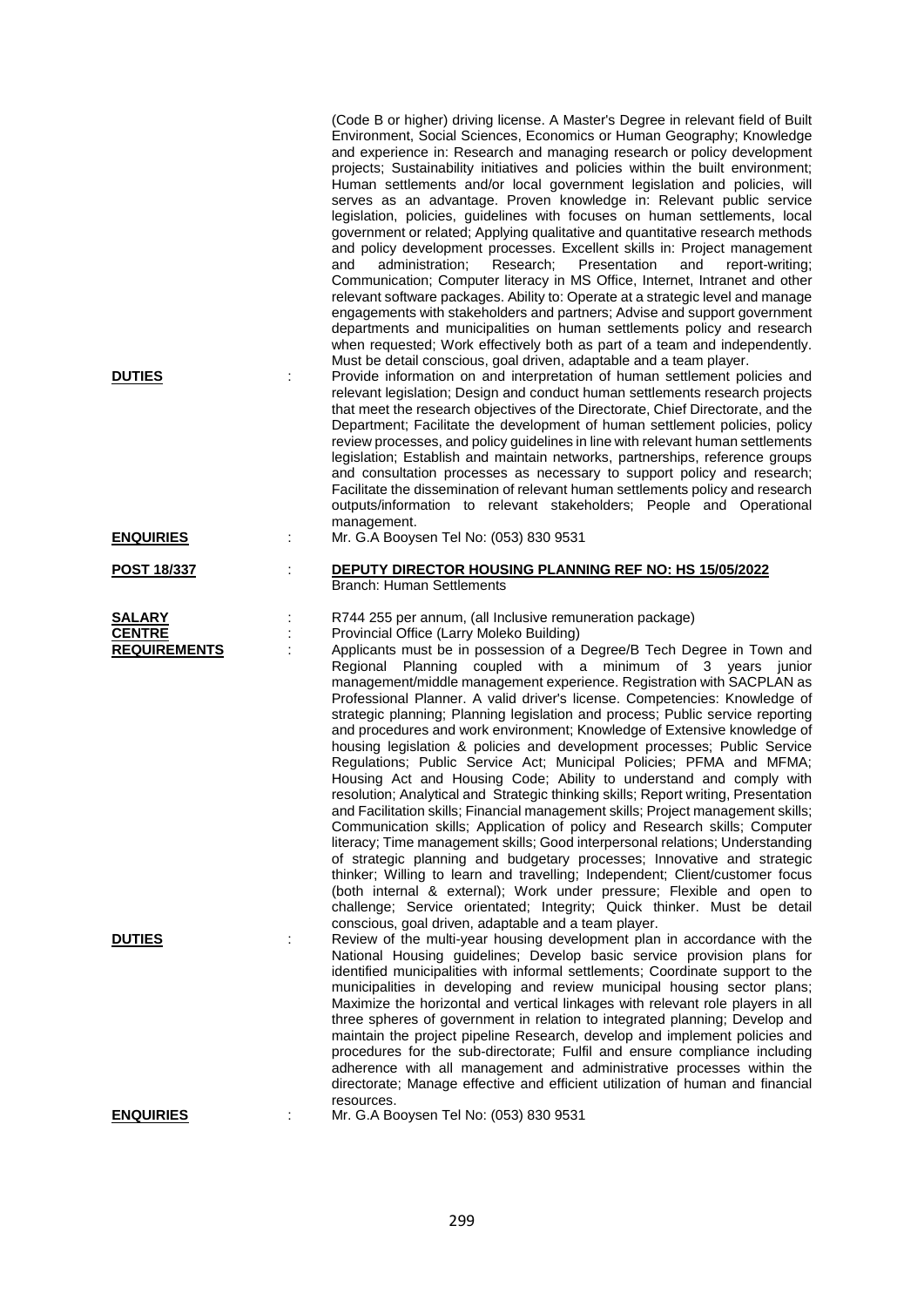| <b>DUTIES</b>                                         | (Code B or higher) driving license. A Master's Degree in relevant field of Built<br>Environment, Social Sciences, Economics or Human Geography; Knowledge<br>and experience in: Research and managing research or policy development<br>projects; Sustainability initiatives and policies within the built environment;<br>Human settlements and/or local government legislation and policies, will<br>serves as an advantage. Proven knowledge in: Relevant public service<br>legislation, policies, guidelines with focuses on human settlements, local<br>government or related; Applying qualitative and quantitative research methods<br>and policy development processes. Excellent skills in: Project management<br>and<br>administration;<br>Research;<br>Presentation<br>and<br>report-writing;<br>Communication; Computer literacy in MS Office, Internet, Intranet and other<br>relevant software packages. Ability to: Operate at a strategic level and manage<br>engagements with stakeholders and partners; Advise and support government<br>departments and municipalities on human settlements policy and research<br>when requested; Work effectively both as part of a team and independently.<br>Must be detail conscious, goal driven, adaptable and a team player.<br>Provide information on and interpretation of human settlement policies and<br>relevant legislation; Design and conduct human settlements research projects<br>that meet the research objectives of the Directorate, Chief Directorate, and the<br>Department; Facilitate the development of human settlement policies, policy<br>review processes, and policy guidelines in line with relevant human settlements<br>legislation; Establish and maintain networks, partnerships, reference groups<br>and consultation processes as necessary to support policy and research;<br>Facilitate the dissemination of relevant human settlements policy and research<br>outputs/information to relevant stakeholders; People and Operational |
|-------------------------------------------------------|----------------------------------------------------------------------------------------------------------------------------------------------------------------------------------------------------------------------------------------------------------------------------------------------------------------------------------------------------------------------------------------------------------------------------------------------------------------------------------------------------------------------------------------------------------------------------------------------------------------------------------------------------------------------------------------------------------------------------------------------------------------------------------------------------------------------------------------------------------------------------------------------------------------------------------------------------------------------------------------------------------------------------------------------------------------------------------------------------------------------------------------------------------------------------------------------------------------------------------------------------------------------------------------------------------------------------------------------------------------------------------------------------------------------------------------------------------------------------------------------------------------------------------------------------------------------------------------------------------------------------------------------------------------------------------------------------------------------------------------------------------------------------------------------------------------------------------------------------------------------------------------------------------------------------------------------------------------------------------------------------------------------------------|
| <b>ENQUIRIES</b>                                      | management.<br>Mr. G.A Booysen Tel No: (053) 830 9531                                                                                                                                                                                                                                                                                                                                                                                                                                                                                                                                                                                                                                                                                                                                                                                                                                                                                                                                                                                                                                                                                                                                                                                                                                                                                                                                                                                                                                                                                                                                                                                                                                                                                                                                                                                                                                                                                                                                                                            |
| <b>POST 18/337</b>                                    | <b>DEPUTY DIRECTOR HOUSING PLANNING REF NO: HS 15/05/2022</b><br><b>Branch: Human Settlements</b>                                                                                                                                                                                                                                                                                                                                                                                                                                                                                                                                                                                                                                                                                                                                                                                                                                                                                                                                                                                                                                                                                                                                                                                                                                                                                                                                                                                                                                                                                                                                                                                                                                                                                                                                                                                                                                                                                                                                |
| <b>SALARY</b><br><b>CENTRE</b><br><b>REQUIREMENTS</b> | R744 255 per annum, (all Inclusive remuneration package)<br>Provincial Office (Larry Moleko Building)<br>Applicants must be in possession of a Degree/B Tech Degree in Town and<br>Regional Planning coupled with a minimum of 3 years junior<br>management/middle management experience. Registration with SACPLAN as<br>Professional Planner. A valid driver's license. Competencies: Knowledge of<br>strategic planning; Planning legislation and process; Public service reporting<br>and procedures and work environment; Knowledge of Extensive knowledge of<br>housing legislation & policies and development processes; Public Service<br>Regulations; Public Service Act; Municipal Policies; PFMA and MFMA;<br>Housing Act and Housing Code; Ability to understand and comply with<br>resolution; Analytical and Strategic thinking skills; Report writing, Presentation<br>and Facilitation skills; Financial management skills; Project management skills;<br>Communication skills; Application of policy and Research skills; Computer<br>literacy; Time management skills; Good interpersonal relations; Understanding<br>of strategic planning and budgetary processes; Innovative and strategic<br>thinker; Willing to learn and travelling; Independent; Client/customer focus<br>(both internal & external); Work under pressure; Flexible and open to<br>challenge; Service orientated; Integrity; Quick thinker. Must be detail                                                                                                                                                                                                                                                                                                                                                                                                                                                                                                                                                                              |
| <b>DUTIES</b>                                         | conscious, goal driven, adaptable and a team player.<br>Review of the multi-year housing development plan in accordance with the<br>National Housing guidelines; Develop basic service provision plans for<br>identified municipalities with informal settlements; Coordinate support to the<br>municipalities in developing and review municipal housing sector plans;<br>Maximize the horizontal and vertical linkages with relevant role players in all<br>three spheres of government in relation to integrated planning; Develop and<br>maintain the project pipeline Research, develop and implement policies and<br>procedures for the sub-directorate; Fulfil and ensure compliance including<br>adherence with all management and administrative processes within the<br>directorate; Manage effective and efficient utilization of human and financial<br>resources.                                                                                                                                                                                                                                                                                                                                                                                                                                                                                                                                                                                                                                                                                                                                                                                                                                                                                                                                                                                                                                                                                                                                                   |
| <u>ENQUIRIES</u>                                      | Mr. G.A Booysen Tel No: (053) 830 9531                                                                                                                                                                                                                                                                                                                                                                                                                                                                                                                                                                                                                                                                                                                                                                                                                                                                                                                                                                                                                                                                                                                                                                                                                                                                                                                                                                                                                                                                                                                                                                                                                                                                                                                                                                                                                                                                                                                                                                                           |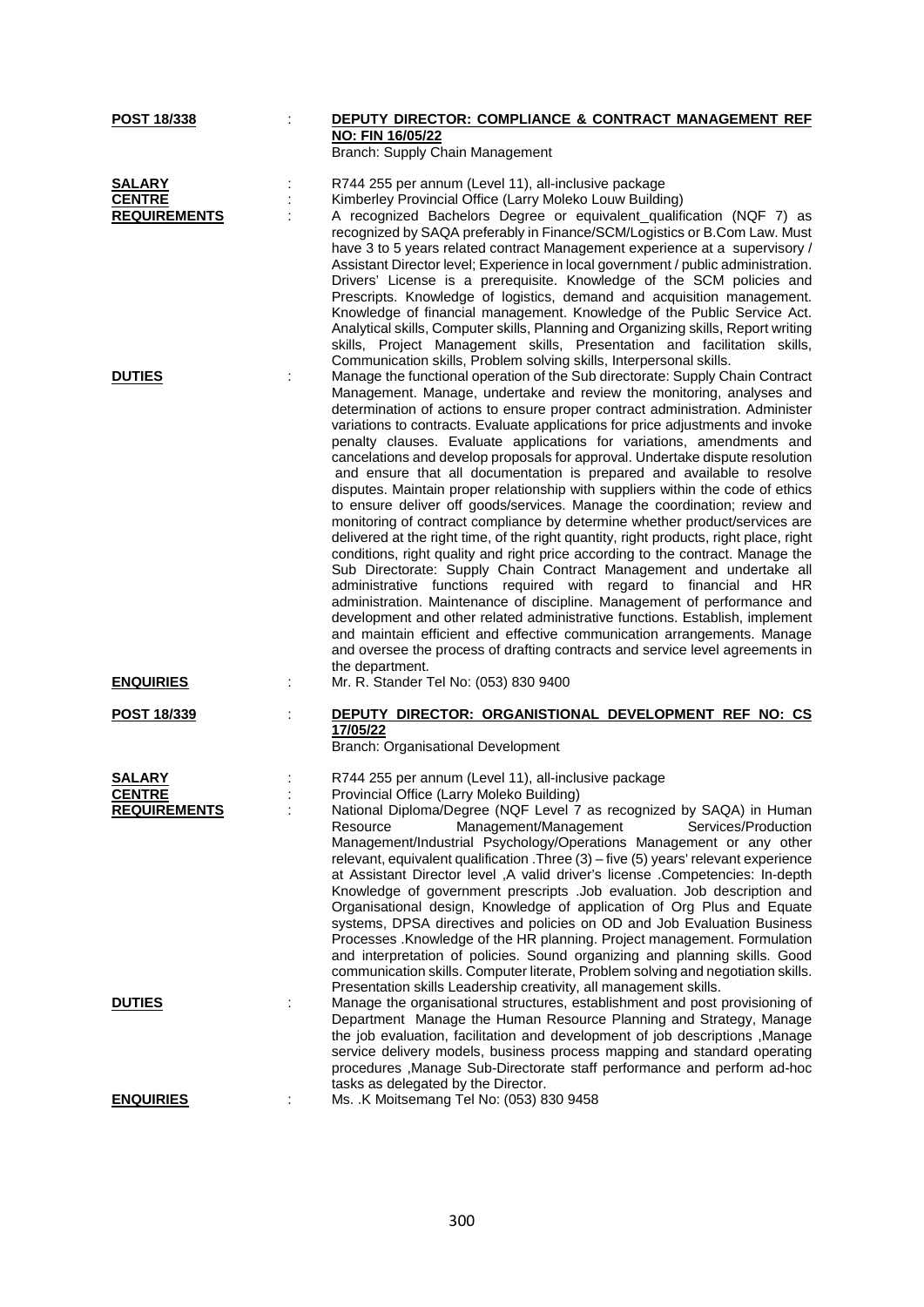| POST 18/338         |   | DEPUTY DIRECTOR: COMPLIANCE & CONTRACT MANAGEMENT REF                                                                                                      |
|---------------------|---|------------------------------------------------------------------------------------------------------------------------------------------------------------|
|                     |   | NO: FIN 16/05/22<br>Branch: Supply Chain Management                                                                                                        |
|                     |   |                                                                                                                                                            |
| <b>SALARY</b>       |   | R744 255 per annum (Level 11), all-inclusive package                                                                                                       |
| <b>CENTRE</b>       |   | Kimberley Provincial Office (Larry Moleko Louw Building)                                                                                                   |
| <b>REQUIREMENTS</b> |   | A recognized Bachelors Degree or equivalent_qualification (NQF 7) as                                                                                       |
|                     |   | recognized by SAQA preferably in Finance/SCM/Logistics or B.Com Law. Must<br>have 3 to 5 years related contract Management experience at a supervisory /   |
|                     |   | Assistant Director level; Experience in local government / public administration.                                                                          |
|                     |   | Drivers' License is a prerequisite. Knowledge of the SCM policies and                                                                                      |
|                     |   | Prescripts. Knowledge of logistics, demand and acquisition management.                                                                                     |
|                     |   | Knowledge of financial management. Knowledge of the Public Service Act.                                                                                    |
|                     |   | Analytical skills, Computer skills, Planning and Organizing skills, Report writing                                                                         |
|                     |   | skills, Project Management skills, Presentation and facilitation skills,                                                                                   |
| <b>DUTIES</b>       |   | Communication skills, Problem solving skills, Interpersonal skills.<br>Manage the functional operation of the Sub directorate: Supply Chain Contract       |
|                     |   | Management. Manage, undertake and review the monitoring, analyses and                                                                                      |
|                     |   | determination of actions to ensure proper contract administration. Administer                                                                              |
|                     |   | variations to contracts. Evaluate applications for price adjustments and invoke                                                                            |
|                     |   | penalty clauses. Evaluate applications for variations, amendments and                                                                                      |
|                     |   | cancelations and develop proposals for approval. Undertake dispute resolution                                                                              |
|                     |   | and ensure that all documentation is prepared and available to resolve<br>disputes. Maintain proper relationship with suppliers within the code of ethics  |
|                     |   | to ensure deliver off goods/services. Manage the coordination; review and                                                                                  |
|                     |   | monitoring of contract compliance by determine whether product/services are                                                                                |
|                     |   | delivered at the right time, of the right quantity, right products, right place, right                                                                     |
|                     |   | conditions, right quality and right price according to the contract. Manage the                                                                            |
|                     |   | Sub Directorate: Supply Chain Contract Management and undertake all<br>administrative functions required with regard to financial and HR                   |
|                     |   | administration. Maintenance of discipline. Management of performance and                                                                                   |
|                     |   | development and other related administrative functions. Establish, implement                                                                               |
|                     |   | and maintain efficient and effective communication arrangements. Manage                                                                                    |
|                     |   | and oversee the process of drafting contracts and service level agreements in                                                                              |
| <b>ENQUIRIES</b>    |   | the department.<br>Mr. R. Stander Tel No: (053) 830 9400                                                                                                   |
|                     |   |                                                                                                                                                            |
| POST 18/339         | t | DEPUTY DIRECTOR: ORGANISTIONAL DEVELOPMENT REF NO: CS                                                                                                      |
|                     |   | 17/05/22                                                                                                                                                   |
|                     |   | Branch: Organisational Development                                                                                                                         |
| SALARY              |   | R744 255 per annum (Level 11), all-inclusive package                                                                                                       |
| <b>CENTRE</b>       |   | Provincial Office (Larry Moleko Building)                                                                                                                  |
| <u>REQUIREMENTS</u> |   | National Diploma/Degree (NQF Level 7 as recognized by SAQA) in Human                                                                                       |
|                     |   | Management/Management<br>Services/Production<br>Resource                                                                                                   |
|                     |   | Management/Industrial Psychology/Operations Management or any other<br>relevant, equivalent qualification .Three (3) - five (5) years' relevant experience |
|                     |   | at Assistant Director level , A valid driver's license . Competencies: In-depth                                                                            |
|                     |   | Knowledge of government prescripts .Job evaluation. Job description and                                                                                    |
|                     |   | Organisational design, Knowledge of application of Org Plus and Equate                                                                                     |
|                     |   | systems, DPSA directives and policies on OD and Job Evaluation Business                                                                                    |
|                     |   | Processes . Knowledge of the HR planning. Project management. Formulation<br>and interpretation of policies. Sound organizing and planning skills. Good    |
|                     |   | communication skills. Computer literate, Problem solving and negotiation skills.                                                                           |
|                     |   | Presentation skills Leadership creativity, all management skills.                                                                                          |
| <b>DUTIES</b>       |   | Manage the organisational structures, establishment and post provisioning of                                                                               |
|                     |   | Department Manage the Human Resource Planning and Strategy, Manage                                                                                         |
|                     |   | the job evaluation, facilitation and development of job descriptions , Manage                                                                              |
|                     |   | service delivery models, business process mapping and standard operating                                                                                   |
|                     |   | procedures , Manage Sub-Directorate staff performance and perform ad-hoc<br>tasks as delegated by the Director.                                            |
| <b>ENQUIRIES</b>    |   | Ms. .K Moitsemang Tel No: (053) 830 9458                                                                                                                   |